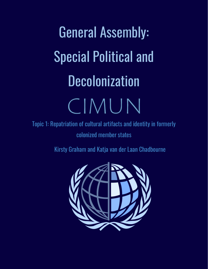# General Assembly: Special Political and **Decolonization** CIMUN

Topic 1: Repatriation of cultural artifacts and identity in formerly colonized member states

Kirsty Graham and Katja van der Laan Chadbourne

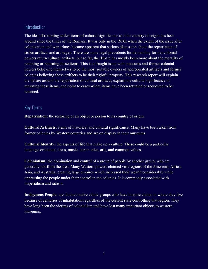#### Introduction

The idea of returning stolen items of cultural significance to their country of origin has been around since the times of the Romans. It was only in the 1950s when the extent of the issue after colonization and war crimes became apparent that serious discussion about the repatriation of stolen artifacts and art began. There are some legal precedents for demanding former colonial powers return cultural artifacts, but so far, the debate has mostly been more about the morality of retaining or returning these items. This is a fraught issue with museums and former colonial powers believing themselves to be the most suitable owners of appropriated artifacts and former colonies believing these artifacts to be their rightful property. This research report will explain the debate around the repatriation of cultural artifacts, explain the cultural significance of returning these items, and point to cases where items have been returned or requested to be returned.

# Key Terms

**Repatriation:** the restoring of an object or person to its country of origin.

**Cultural Artifacts:** items of historical and cultural significance. Many have been taken from former colonies by Western countries and are on display in their museums.

**Cultural Identity:** the aspects of life that make up a culture. These could be a particular language or dialect, dress, music, ceremonies, arts, and common values.

**Colonialism:** the domination and control of a group of people by another group, who are generally not from the area. Many Western powers claimed vast regions of the Americas, Africa, Asia, and Australia, creating large empires which increased their wealth considerably while oppressing the people under their control in the colonies. It is commonly associated with imperialism and racism.

**Indigenous People:** are distinct native ethnic groups who have historic claims to where they live because of centuries of inhabitation regardless of the current state controlling that region. They have long been the victims of colonialism and have lost many important objects to western museums.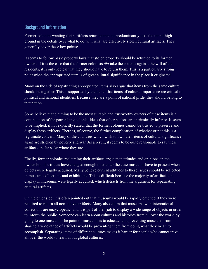## Background Information

Former colonies wanting their artifacts returned tend to predominantly take the moral high ground in the debate over what to do with what are effectively stolen cultural artifacts. They generally cover these key points:

It seems to follow basic property laws that stolen property should be returned to its former owners. If it is the case that the former colonists *did* take these items against the will of the residents, it is only logical that they should have to return them. This is a particularly strong point when the appropriated item is of great cultural significance in the place it originated.

Many on the side of repatriating appropriated items also argue that items from the same culture should be together. This is supported by the belief that items of cultural importance are critical to political and national identities. Because they are a point of national pride, they should belong to that nation.

Some believe that claiming to be the most suitable and trustworthy owners of these items is a continuation of the patronising colonial ideas that other nations are intrinsically inferior. It seems to be implied, if not explicitly stated, that the former colonies cannot be trusted to preserve and display these artifacts. There is, of course, the further complication of whether or not this is a legitimate concern. Many of the countries which wish to own their items of cultural significance again are stricken by poverty and war. As a result, it seems to be quite reasonable to say these artifacts are far safer where they are.

Finally, former colonies reclaiming their artifacts argue that attitudes and opinions on the ownership of artifacts have changed enough to counter the case museums have to present when objects were legally acquired. Many believe current attitudes to these issues should be reflected in museum collections and exhibitions. This is difficult because the majority of artifacts on display in museums were legally acquired, which detracts from the argument for repatriating cultural artifacts.

On the other side, it is often pointed out that museums would be rapidly emptied if they were required to return all non-native artifacts. Many also claim that museums with international collections are encyclopedic, and it is part of their job to display a wide range of objects in order to inform the public. Someone can learn about cultures and histories from all over the world by going to one museum. The point of museums is to educate, and preventing museums from sharing a wide range of artifacts would be preventing them from doing what they mean to accomplish. Separating items of different cultures makes it harder for people who cannot travel all over the world to learn about global cultures.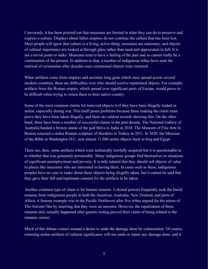Conversely, it has been pointed out that museums are limited in what they can do to preserve and express a culture. Displays about fallen empires do not continue the culture that has been lost. Most people will agree that culture is a living, active thing; museums are stationary, and objects of cultural importance are looked at through glass rather than used and appreciated in full. It is not a trivial point to make. Museums tend to have a feeling of the past and so cannot really be a continuation of the present. In addition to that, a number of indigenous tribes have seen the renewal of ceremonies after decades once ceremonial objects were returned.

When artifacts come from empires and societies long gone which once spread across several modern countries, there are difficulties over who should receive repatriated objects. For example, artifacts from the Roman empire, which spread over significant parts of Europe, would prove to be difficult when trying to return them to their native country.

Some of the most common claims for removed objects is if they have been illegally traded or stolen, especially during war. This itself poses problems because those making the claim must prove they have been taken illegally, and there are seldom records showing this. On the other hand, there have been a number of successful claims in the past decade. The National Gallery of Australia handed a bronze statue of the god Shiva to India in 2018. The Museum of Fine Arts in Boston returned a stolen Roman sculpture of Herakles to Turkey in 2011. In 2020, the Museum of the Bible in Washington D.C. sent almost 11,500 stolen objects back to Iraq and Egypt.

There are, then, some artifacts which were technically lawfully acquired but it is questionable as to whether that was genuinely permissible. Many indigenous groups find themselves in situations of significant unemployment and poverty. It is only natural that they should sell objects of value to places like museums who are interested in having them. In cases such as these, indigenous peoples have no case to make about these objects being illegally taken, but it cannot be said that they gave their full and legitimate consent for the artifacts to be taken.

Another common type of claim is for human remains. Colonial powers frequently took the burial remains from indigenous people in both the Americas, Australia, New Zealand, and parts of Africa. A famous example was in the Pacific Northwest after five tribes argued for the return of The Ancient One by asserting that they were an ancestor. However, the repatriation of these remains only actually happened after genetic testing proved their claim of being related to the remains correct.

Much of this debate centers around a desire to undo the damage done by colonization. Of course, returning stolen artifacts of cultural significance will not undo or repair any damage done, and it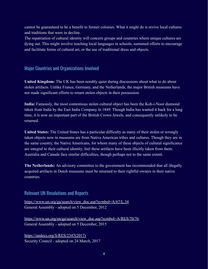cannot be guaranteed to be a benefit to former colonies. What it might do is revive local cultures and traditions that were in decline.

The repatriation of cultural identity will concern groups and countries where unique cultures are dying out. This might involve teaching local languages in schools, sustained efforts to encourage and facilitate forms of cultural art, or the use of traditional dress and objects.

#### Major Countries and Organizations Involved

**United Kingdom:** The UK has been notably quiet during discussions about what to do about stolen artifacts. Unlike France, Germany, and the Netherlands, the major British museums have not made significant efforts to return stolen objects in their possession.

**India:** Famously, the most contentious stolen cultural object has been the Koh-i-Noor diamond taken from India by the East India Company in 1849. Though India has wanted it back for a long time, it is now an important part of the British Crown Jewels, and consequently unlikely to be returned.

**United States:** The United States has a particular difficulty as many of their stolen or wrongly taken objects now in museums are from Native American tribes and cultures. Though they are in the same country, the Native Americans, for whom many of these objects of cultural significance are integral to their cultural identity, feel these artifacts have been illicitly taken from them. Australia and Canada face similar difficulties, though perhaps not to the same extent.

**The Netherlands:** An advisory committee to the government has recommended that all illegally acquired artifacts in Dutch museums must be returned to their rightful owners in their native countries.

## Relevant UN Resolutions and Reports

[https://www.un.org/ga/search/view\\_doc.asp?symbol=A/67/L.34](https://www.un.org/ga/search/view_doc.asp?symbol=A/67/L.34) General Assembly - adopted on 5 December, 2012

[https://www.un.org/en/ga/search/view\\_doc.asp?symbol=A/RES/70/76](https://www.un.org/en/ga/search/view_doc.asp?symbol=A/RES/70/76) General Assembly - adopted on 5 December, 2015

[https://undocs.org/S/RES/2347\(2017\)](https://undocs.org/S/RES/2347(2017)) Security Council - adopted on 24 March, 2017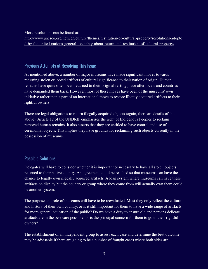More resolutions can be found at:

[http://www.unesco.org/new/en/culture/themes/restitution-of-cultural-property/resolutions-adopte](http://www.unesco.org/new/en/culture/themes/restitution-of-cultural-property/resolutions-adopted-by-the-united-nations-general-assembly-about-return-and-restitution-of-cultural-property/) [d-by-the-united-nations-general-assembly-about-return-and-restitution-of-cultural-property/](http://www.unesco.org/new/en/culture/themes/restitution-of-cultural-property/resolutions-adopted-by-the-united-nations-general-assembly-about-return-and-restitution-of-cultural-property/)

## Previous Attempts at Resolving This Issue

As mentioned above, a number of major museums have made significant moves towards returning stolen or looted artifacts of cultural significance to their nation of origin. Human remains have quite often been returned to their original resting place after locals and countries have demanded them back. However, most of these moves have been of the museums' own initiative rather than a part of an international move to restore illicitly acquired artifacts to their rightful owners.

There are legal obligations to return illegally acquired objects (again, there are details of this above). Article 12 of the UNDRIP emphasises the right of Indigenous Peoples to reclaim removed human remains. It also asserts that they are entitled to have control and use of ceremonial objects. This implies they have grounds for reclaiming such objects currently in the possession of museums.

# Possible Solutions

Delegates will have to consider whether it is important or necessary to have all stolen objects returned to their native country. An agreement could be reached so that museums can have the chance to legally own illegally acquired artifacts. A loan system where museums can have these artifacts on display but the country or group where they come from will actually own them could be another system.

The purpose and role of museums will have to be reevaluated. Must they only reflect the culture and history of their own country, or is it still important for them to have a wide range of artifacts for more general education of the public? Do we have a duty to ensure old and perhaps delicate artifacts are in the best care possible, or is the principal concern for them to go to their rightful owners?

The establishment of an independent group to assess each case and determine the best outcome may be advisable if there are going to be a number of fraught cases where both sides are